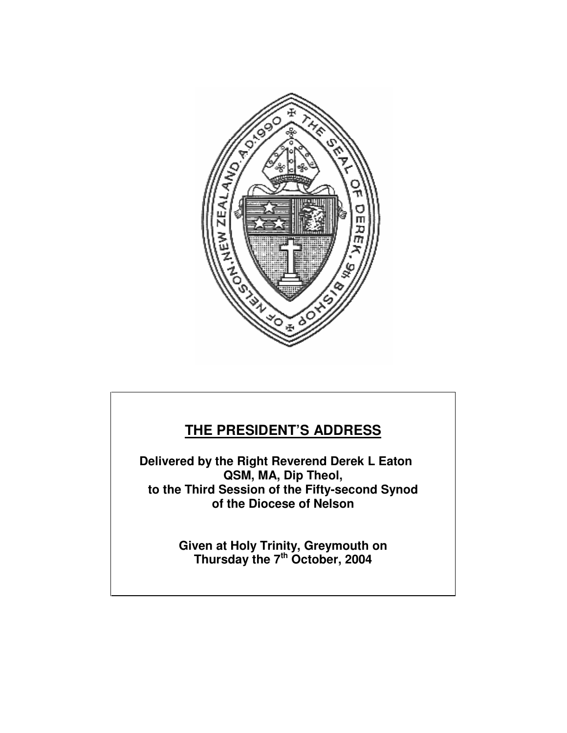

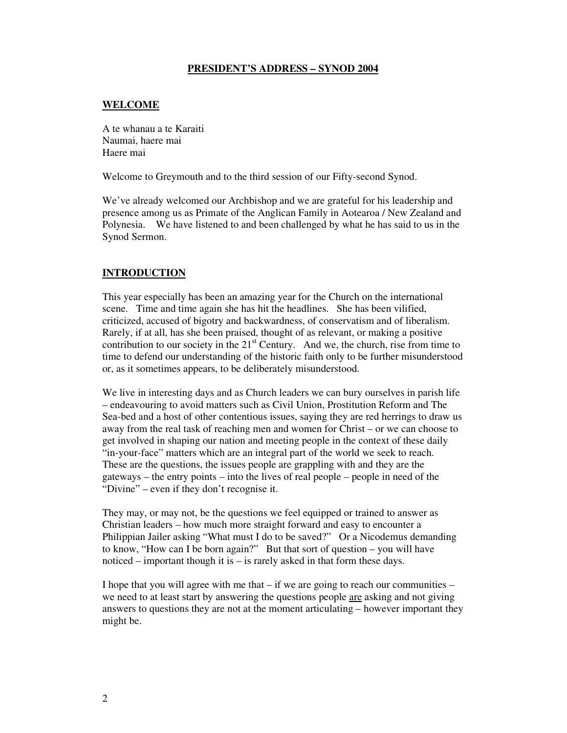## **PRESIDENT'S ADDRESS – SYNOD 2004**

## **WELCOME**

A te whanau a te Karaiti Naumai, haere mai Haere mai

Welcome to Greymouth and to the third session of our Fifty-second Synod.

We've already welcomed our Archbishop and we are grateful for his leadership and presence among us as Primate of the Anglican Family in Aotearoa / New Zealand and Polynesia. We have listened to and been challenged by what he has said to us in the Synod Sermon.

## **INTRODUCTION**

This year especially has been an amazing year for the Church on the international scene. Time and time again she has hit the headlines. She has been vilified, criticized, accused of bigotry and backwardness, of conservatism and of liberalism. Rarely, if at all, has she been praised, thought of as relevant, or making a positive contribution to our society in the  $21<sup>st</sup>$  Century. And we, the church, rise from time to time to defend our understanding of the historic faith only to be further misunderstood or, as it sometimes appears, to be deliberately misunderstood.

We live in interesting days and as Church leaders we can bury ourselves in parish life – endeavouring to avoid matters such as Civil Union, Prostitution Reform and The Sea-bed and a host of other contentious issues, saying they are red herrings to draw us away from the real task of reaching men and women for Christ – or we can choose to get involved in shaping our nation and meeting people in the context of these daily "in-your-face" matters which are an integral part of the world we seek to reach. These are the questions, the issues people are grappling with and they are the gateways – the entry points – into the lives of real people – people in need of the "Divine" – even if they don't recognise it.

They may, or may not, be the questions we feel equipped or trained to answer as Christian leaders – how much more straight forward and easy to encounter a Philippian Jailer asking "What must I do to be saved?" Or a Nicodemus demanding to know, "How can I be born again?" But that sort of question – you will have noticed – important though it is – is rarely asked in that form these days.

I hope that you will agree with me that  $-$  if we are going to reach our communities  $$ we need to at least start by answering the questions people are asking and not giving answers to questions they are not at the moment articulating – however important they might be.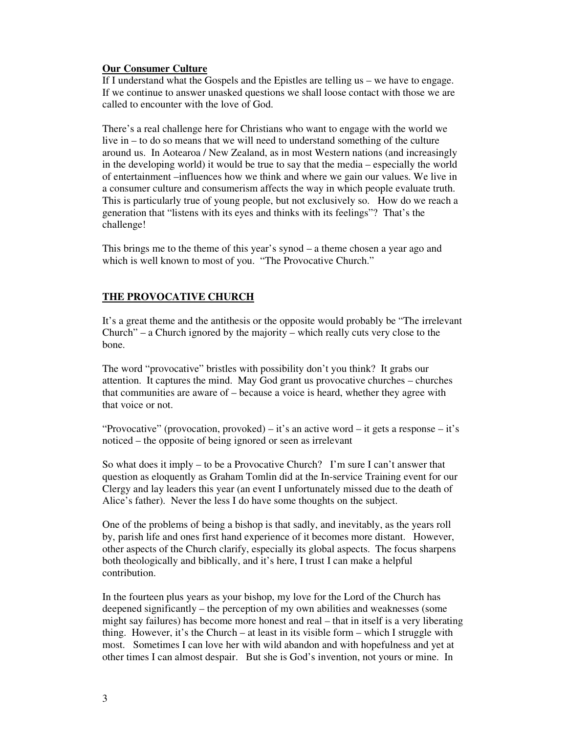## **Our Consumer Culture**

If I understand what the Gospels and the Epistles are telling us – we have to engage. If we continue to answer unasked questions we shall loose contact with those we are called to encounter with the love of God.

There's a real challenge here for Christians who want to engage with the world we live in – to do so means that we will need to understand something of the culture around us. In Aotearoa / New Zealand, as in most Western nations (and increasingly in the developing world) it would be true to say that the media – especially the world of entertainment –influences how we think and where we gain our values. We live in a consumer culture and consumerism affects the way in which people evaluate truth. This is particularly true of young people, but not exclusively so. How do we reach a generation that "listens with its eyes and thinks with its feelings"? That's the challenge!

This brings me to the theme of this year's synod – a theme chosen a year ago and which is well known to most of you. "The Provocative Church."

## **THE PROVOCATIVE CHURCH**

It's a great theme and the antithesis or the opposite would probably be "The irrelevant Church" – a Church ignored by the majority – which really cuts very close to the bone.

The word "provocative" bristles with possibility don't you think? It grabs our attention. It captures the mind. May God grant us provocative churches – churches that communities are aware of – because a voice is heard, whether they agree with that voice or not.

"Provocative" (provocation, provoked) – it's an active word – it gets a response – it's noticed – the opposite of being ignored or seen as irrelevant

So what does it imply – to be a Provocative Church? I'm sure I can't answer that question as eloquently as Graham Tomlin did at the In-service Training event for our Clergy and lay leaders this year (an event I unfortunately missed due to the death of Alice's father). Never the less I do have some thoughts on the subject.

One of the problems of being a bishop is that sadly, and inevitably, as the years roll by, parish life and ones first hand experience of it becomes more distant. However, other aspects of the Church clarify, especially its global aspects. The focus sharpens both theologically and biblically, and it's here, I trust I can make a helpful contribution.

In the fourteen plus years as your bishop, my love for the Lord of the Church has deepened significantly – the perception of my own abilities and weaknesses (some might say failures) has become more honest and real – that in itself is a very liberating thing. However, it's the Church – at least in its visible form – which I struggle with most. Sometimes I can love her with wild abandon and with hopefulness and yet at other times I can almost despair. But she is God's invention, not yours or mine. In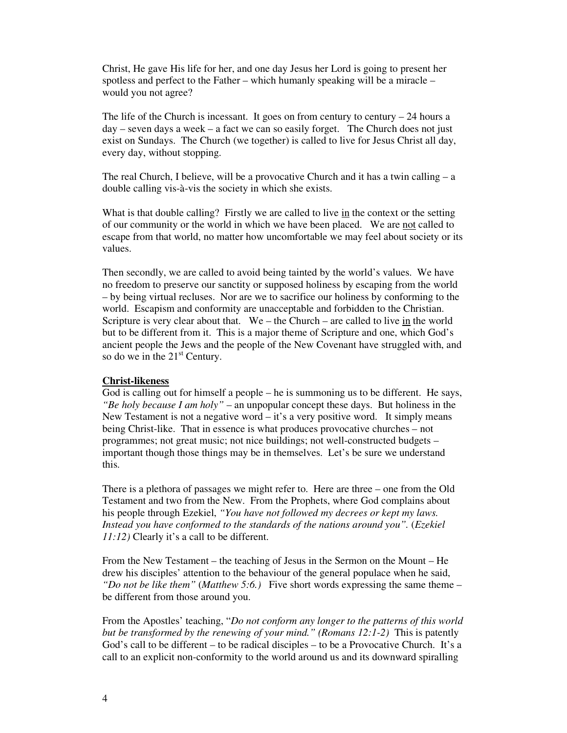Christ, He gave His life for her, and one day Jesus her Lord is going to present her spotless and perfect to the Father – which humanly speaking will be a miracle – would you not agree?

The life of the Church is incessant. It goes on from century to century  $-24$  hours a  $day - seven days$  a week  $- a$  fact we can so easily forget. The Church does not just exist on Sundays. The Church (we together) is called to live for Jesus Christ all day, every day, without stopping.

The real Church, I believe, will be a provocative Church and it has a twin calling  $-a$ double calling vis-à-vis the society in which she exists.

What is that double calling? Firstly we are called to live in the context or the setting of our community or the world in which we have been placed. We are not called to escape from that world, no matter how uncomfortable we may feel about society or its values.

Then secondly, we are called to avoid being tainted by the world's values. We have no freedom to preserve our sanctity or supposed holiness by escaping from the world – by being virtual recluses. Nor are we to sacrifice our holiness by conforming to the world. Escapism and conformity are unacceptable and forbidden to the Christian. Scripture is very clear about that. We – the Church – are called to live in the world but to be different from it. This is a major theme of Scripture and one, which God's ancient people the Jews and the people of the New Covenant have struggled with, and so do we in the  $21<sup>st</sup>$  Century.

#### **Christ-likeness**

God is calling out for himself a people – he is summoning us to be different. He says, *"Be holy because I am holy"* – an unpopular concept these days. But holiness in the New Testament is not a negative word – it's a very positive word. It simply means being Christ-like. That in essence is what produces provocative churches – not programmes; not great music; not nice buildings; not well-constructed budgets – important though those things may be in themselves. Let's be sure we understand this.

There is a plethora of passages we might refer to. Here are three – one from the Old Testament and two from the New. From the Prophets, where God complains about his people through Ezekiel, *"You have not followed my decrees or kept my laws. Instead you have conformed to the standards of the nations around you".* (*Ezekiel 11:12)* Clearly it's a call to be different.

From the New Testament – the teaching of Jesus in the Sermon on the Mount – He drew his disciples' attention to the behaviour of the general populace when he said, *"Do not be like them"* (*Matthew 5:6.)* Five short words expressing the same theme – be different from those around you.

From the Apostles' teaching, "*Do not conform any longer to the patterns of this world but be transformed by the renewing of your mind." (Romans 12:1-2)* This is patently God's call to be different – to be radical disciples – to be a Provocative Church. It's a call to an explicit non-conformity to the world around us and its downward spiralling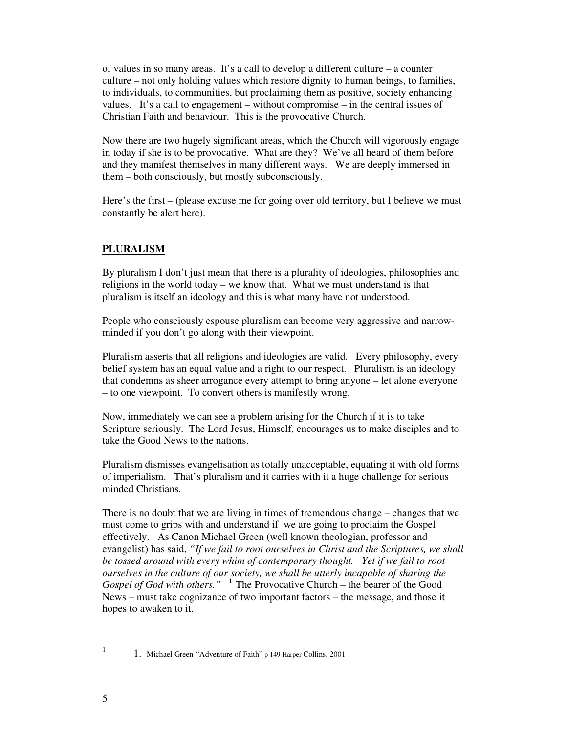of values in so many areas. It's a call to develop a different culture – a counter culture – not only holding values which restore dignity to human beings, to families, to individuals, to communities, but proclaiming them as positive, society enhancing values. It's a call to engagement – without compromise – in the central issues of Christian Faith and behaviour. This is the provocative Church.

Now there are two hugely significant areas, which the Church will vigorously engage in today if she is to be provocative. What are they? We've all heard of them before and they manifest themselves in many different ways. We are deeply immersed in them – both consciously, but mostly subconsciously.

Here's the first – (please excuse me for going over old territory, but I believe we must constantly be alert here).

# **PLURALISM**

By pluralism I don't just mean that there is a plurality of ideologies, philosophies and religions in the world today – we know that. What we must understand is that pluralism is itself an ideology and this is what many have not understood.

People who consciously espouse pluralism can become very aggressive and narrowminded if you don't go along with their viewpoint.

Pluralism asserts that all religions and ideologies are valid. Every philosophy, every belief system has an equal value and a right to our respect. Pluralism is an ideology that condemns as sheer arrogance every attempt to bring anyone – let alone everyone – to one viewpoint. To convert others is manifestly wrong.

Now, immediately we can see a problem arising for the Church if it is to take Scripture seriously. The Lord Jesus, Himself, encourages us to make disciples and to take the Good News to the nations.

Pluralism dismisses evangelisation as totally unacceptable, equating it with old forms of imperialism. That's pluralism and it carries with it a huge challenge for serious minded Christians.

There is no doubt that we are living in times of tremendous change – changes that we must come to grips with and understand if we are going to proclaim the Gospel effectively. As Canon Michael Green (well known theologian, professor and evangelist) has said, *"If we fail to root ourselves in Christ and the Scriptures, we shall be tossed around with every whim of contemporary thought. Yet if we fail to root ourselves in the culture of our society, we shall be utterly incapable of sharing the Gospel of God with others."* <sup>1</sup> The Provocative Church – the bearer of the Good News – must take cognizance of two important factors – the message, and those it hopes to awaken to it.

 $\frac{1}{1}$ 

 <sup>1.</sup> Michael Green "Adventure of Faith" p 149 Harper Collins, 2001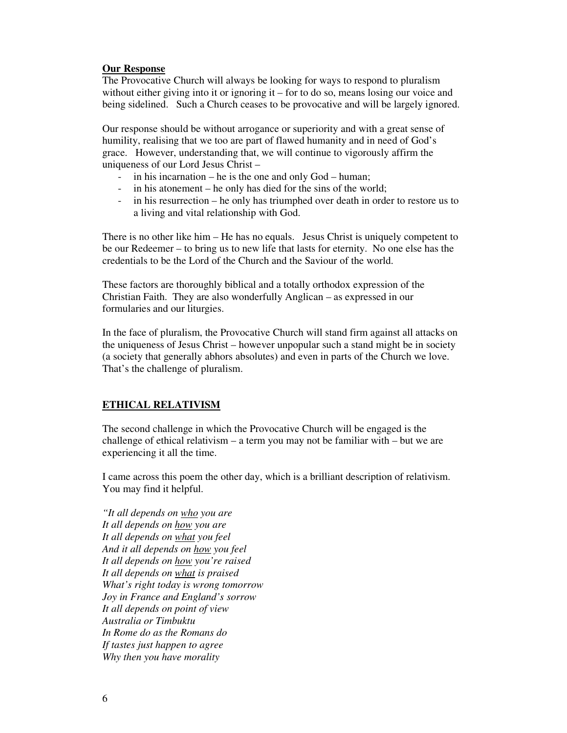### **Our Response**

The Provocative Church will always be looking for ways to respond to pluralism without either giving into it or ignoring it – for to do so, means losing our voice and being sidelined. Such a Church ceases to be provocative and will be largely ignored.

Our response should be without arrogance or superiority and with a great sense of humility, realising that we too are part of flawed humanity and in need of God's grace. However, understanding that, we will continue to vigorously affirm the uniqueness of our Lord Jesus Christ –

- in his incarnation he is the one and only  $God human;$
- in his atonement he only has died for the sins of the world;
- in his resurrection he only has triumphed over death in order to restore us to a living and vital relationship with God.

There is no other like him – He has no equals. Jesus Christ is uniquely competent to be our Redeemer – to bring us to new life that lasts for eternity. No one else has the credentials to be the Lord of the Church and the Saviour of the world.

These factors are thoroughly biblical and a totally orthodox expression of the Christian Faith. They are also wonderfully Anglican – as expressed in our formularies and our liturgies.

In the face of pluralism, the Provocative Church will stand firm against all attacks on the uniqueness of Jesus Christ – however unpopular such a stand might be in society (a society that generally abhors absolutes) and even in parts of the Church we love. That's the challenge of pluralism.

## **ETHICAL RELATIVISM**

The second challenge in which the Provocative Church will be engaged is the challenge of ethical relativism – a term you may not be familiar with – but we are experiencing it all the time.

I came across this poem the other day, which is a brilliant description of relativism. You may find it helpful.

*"It all depends on who you are It all depends on how you are It all depends on what you feel And it all depends on how you feel It all depends on how you're raised It all depends on what is praised What's right today is wrong tomorrow Joy in France and England's sorrow It all depends on point of view Australia or Timbuktu In Rome do as the Romans do If tastes just happen to agree Why then you have morality*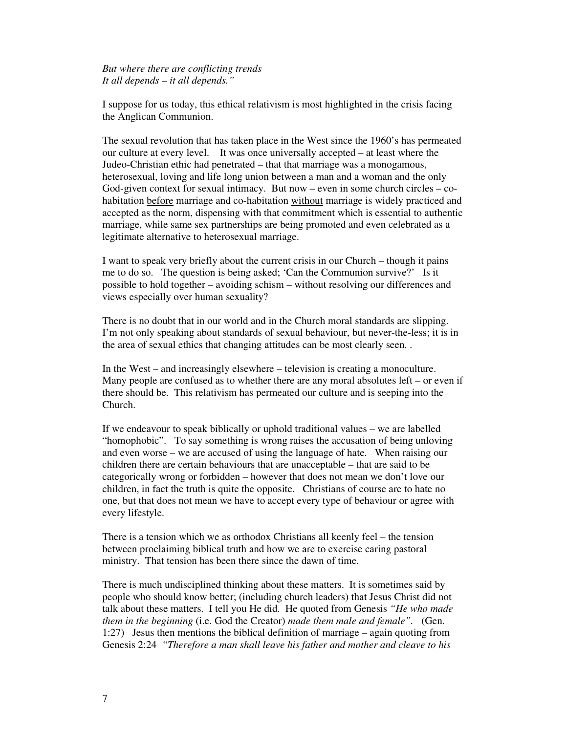*But where there are conflicting trends It all depends – it all depends."*

I suppose for us today, this ethical relativism is most highlighted in the crisis facing the Anglican Communion.

The sexual revolution that has taken place in the West since the 1960's has permeated our culture at every level. It was once universally accepted – at least where the Judeo-Christian ethic had penetrated – that that marriage was a monogamous, heterosexual, loving and life long union between a man and a woman and the only God-given context for sexual intimacy. But now – even in some church circles – cohabitation before marriage and co-habitation without marriage is widely practiced and accepted as the norm, dispensing with that commitment which is essential to authentic marriage, while same sex partnerships are being promoted and even celebrated as a legitimate alternative to heterosexual marriage.

I want to speak very briefly about the current crisis in our Church – though it pains me to do so. The question is being asked; 'Can the Communion survive?' Is it possible to hold together – avoiding schism – without resolving our differences and views especially over human sexuality?

There is no doubt that in our world and in the Church moral standards are slipping. I'm not only speaking about standards of sexual behaviour, but never-the-less; it is in the area of sexual ethics that changing attitudes can be most clearly seen. .

In the West – and increasingly elsewhere – television is creating a monoculture. Many people are confused as to whether there are any moral absolutes left – or even if there should be. This relativism has permeated our culture and is seeping into the Church.

If we endeavour to speak biblically or uphold traditional values – we are labelled "homophobic". To say something is wrong raises the accusation of being unloving and even worse – we are accused of using the language of hate. When raising our children there are certain behaviours that are unacceptable – that are said to be categorically wrong or forbidden – however that does not mean we don't love our children, in fact the truth is quite the opposite. Christians of course are to hate no one, but that does not mean we have to accept every type of behaviour or agree with every lifestyle.

There is a tension which we as orthodox Christians all keenly feel – the tension between proclaiming biblical truth and how we are to exercise caring pastoral ministry. That tension has been there since the dawn of time.

There is much undisciplined thinking about these matters. It is sometimes said by people who should know better; (including church leaders) that Jesus Christ did not talk about these matters. I tell you He did. He quoted from Genesis *"He who made them in the beginning* (i.e. God the Creator) *made them male and female".* (Gen. 1:27) Jesus then mentions the biblical definition of marriage – again quoting from Genesis 2:24 *"Therefore a man shall leave his father and mother and cleave to his*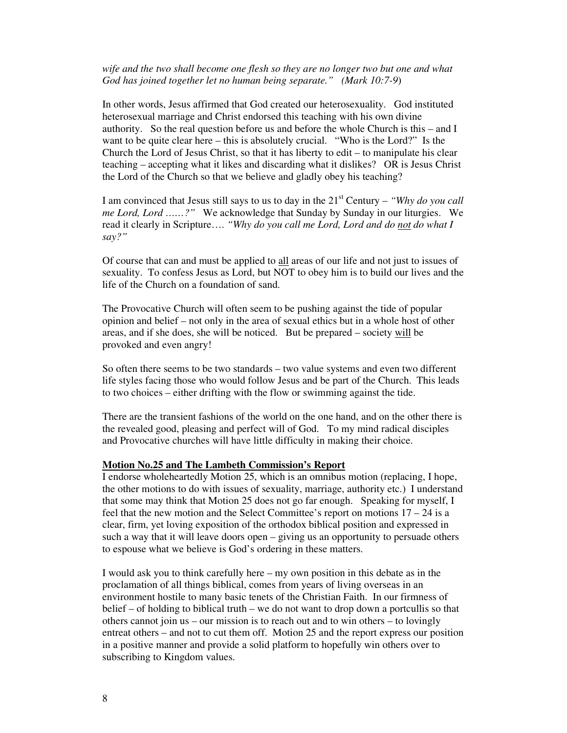*wife and the two shall become one flesh so they are no longer two but one and what God has joined together let no human being separate." (Mark 10:7-9*)

In other words, Jesus affirmed that God created our heterosexuality. God instituted heterosexual marriage and Christ endorsed this teaching with his own divine authority. So the real question before us and before the whole Church is this – and I want to be quite clear here – this is absolutely crucial. "Who is the Lord?" Is the Church the Lord of Jesus Christ, so that it has liberty to edit – to manipulate his clear teaching – accepting what it likes and discarding what it dislikes? OR is Jesus Christ the Lord of the Church so that we believe and gladly obey his teaching?

I am convinced that Jesus still says to us to day in the  $21<sup>st</sup>$  Century – *"Why do you call*" *me Lord, Lord ……?"* We acknowledge that Sunday by Sunday in our liturgies. We read it clearly in Scripture…. *"Why do you call me Lord, Lord and do not do what I say?"*

Of course that can and must be applied to all areas of our life and not just to issues of sexuality. To confess Jesus as Lord, but NOT to obey him is to build our lives and the life of the Church on a foundation of sand.

The Provocative Church will often seem to be pushing against the tide of popular opinion and belief – not only in the area of sexual ethics but in a whole host of other areas, and if she does, she will be noticed. But be prepared – society will be provoked and even angry!

So often there seems to be two standards – two value systems and even two different life styles facing those who would follow Jesus and be part of the Church. This leads to two choices – either drifting with the flow or swimming against the tide.

There are the transient fashions of the world on the one hand, and on the other there is the revealed good, pleasing and perfect will of God. To my mind radical disciples and Provocative churches will have little difficulty in making their choice.

#### **Motion No.25 and The Lambeth Commission's Report**

I endorse wholeheartedly Motion 25, which is an omnibus motion (replacing, I hope, the other motions to do with issues of sexuality, marriage, authority etc.) I understand that some may think that Motion 25 does not go far enough. Speaking for myself, I feel that the new motion and the Select Committee's report on motions  $17 - 24$  is a clear, firm, yet loving exposition of the orthodox biblical position and expressed in such a way that it will leave doors open – giving us an opportunity to persuade others to espouse what we believe is God's ordering in these matters.

I would ask you to think carefully here – my own position in this debate as in the proclamation of all things biblical, comes from years of living overseas in an environment hostile to many basic tenets of the Christian Faith. In our firmness of belief – of holding to biblical truth – we do not want to drop down a portcullis so that others cannot join us – our mission is to reach out and to win others – to lovingly entreat others – and not to cut them off. Motion 25 and the report express our position in a positive manner and provide a solid platform to hopefully win others over to subscribing to Kingdom values.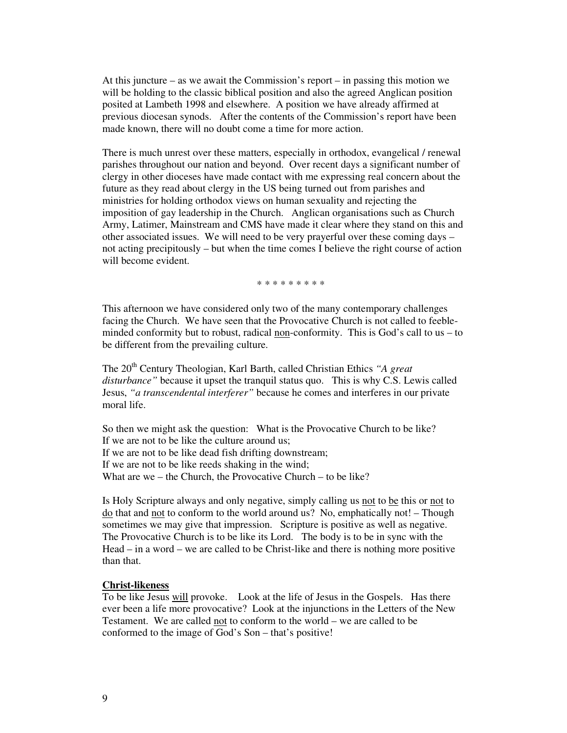At this juncture – as we await the Commission's report – in passing this motion we will be holding to the classic biblical position and also the agreed Anglican position posited at Lambeth 1998 and elsewhere. A position we have already affirmed at previous diocesan synods. After the contents of the Commission's report have been made known, there will no doubt come a time for more action.

There is much unrest over these matters, especially in orthodox, evangelical / renewal parishes throughout our nation and beyond. Over recent days a significant number of clergy in other dioceses have made contact with me expressing real concern about the future as they read about clergy in the US being turned out from parishes and ministries for holding orthodox views on human sexuality and rejecting the imposition of gay leadership in the Church. Anglican organisations such as Church Army, Latimer, Mainstream and CMS have made it clear where they stand on this and other associated issues. We will need to be very prayerful over these coming days – not acting precipitously – but when the time comes I believe the right course of action will become evident.

\* \* \* \* \* \* \* \*

This afternoon we have considered only two of the many contemporary challenges facing the Church. We have seen that the Provocative Church is not called to feebleminded conformity but to robust, radical non-conformity. This is God's call to us  $-$  to be different from the prevailing culture.

The 20<sup>th</sup> Century Theologian, Karl Barth, called Christian Ethics "A great *disturbance"* because it upset the tranquil status quo. This is why C.S. Lewis called Jesus, *"a transcendental interferer"* because he comes and interferes in our private moral life.

So then we might ask the question: What is the Provocative Church to be like? If we are not to be like the culture around us; If we are not to be like dead fish drifting downstream; If we are not to be like reeds shaking in the wind; What are we – the Church, the Provocative Church – to be like?

Is Holy Scripture always and only negative, simply calling us not to be this or not to do that and not to conform to the world around us? No, emphatically not! – Though sometimes we may give that impression. Scripture is positive as well as negative. The Provocative Church is to be like its Lord. The body is to be in sync with the Head – in a word – we are called to be Christ-like and there is nothing more positive than that.

## **Christ-likeness**

To be like Jesus will provoke. Look at the life of Jesus in the Gospels. Has there ever been a life more provocative? Look at the injunctions in the Letters of the New Testament. We are called not to conform to the world – we are called to be conformed to the image of God's Son – that's positive!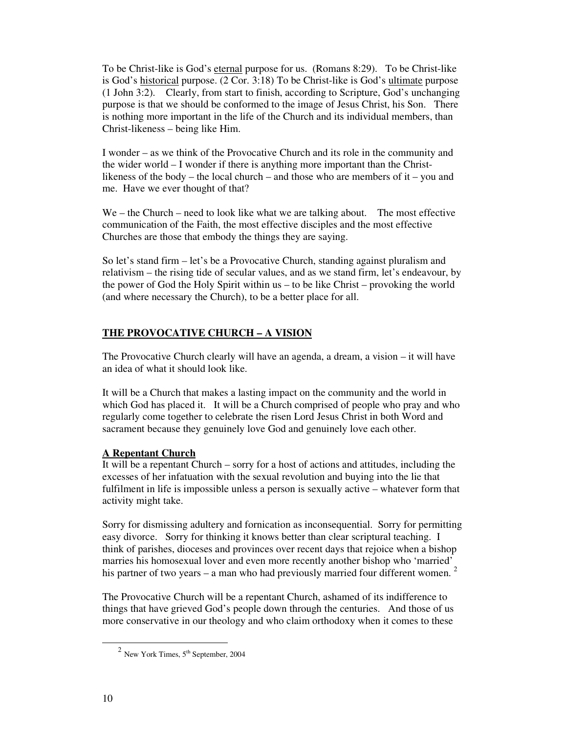To be Christ-like is God's eternal purpose for us. (Romans 8:29). To be Christ-like is God's historical purpose. (2 Cor. 3:18) To be Christ-like is God's ultimate purpose (1 John 3:2). Clearly, from start to finish, according to Scripture, God's unchanging purpose is that we should be conformed to the image of Jesus Christ, his Son. There is nothing more important in the life of the Church and its individual members, than Christ-likeness – being like Him.

I wonder – as we think of the Provocative Church and its role in the community and the wider world – I wonder if there is anything more important than the Christlikeness of the body – the local church – and those who are members of it – you and me. Have we ever thought of that?

We – the Church – need to look like what we are talking about. The most effective communication of the Faith, the most effective disciples and the most effective Churches are those that embody the things they are saying.

So let's stand firm – let's be a Provocative Church, standing against pluralism and relativism – the rising tide of secular values, and as we stand firm, let's endeavour, by the power of God the Holy Spirit within us – to be like Christ – provoking the world (and where necessary the Church), to be a better place for all.

# **THE PROVOCATIVE CHURCH – A VISION**

The Provocative Church clearly will have an agenda, a dream, a vision – it will have an idea of what it should look like.

It will be a Church that makes a lasting impact on the community and the world in which God has placed it. It will be a Church comprised of people who pray and who regularly come together to celebrate the risen Lord Jesus Christ in both Word and sacrament because they genuinely love God and genuinely love each other.

# **A Repentant Church**

It will be a repentant Church – sorry for a host of actions and attitudes, including the excesses of her infatuation with the sexual revolution and buying into the lie that fulfilment in life is impossible unless a person is sexually active – whatever form that activity might take.

Sorry for dismissing adultery and fornication as inconsequential. Sorry for permitting easy divorce. Sorry for thinking it knows better than clear scriptural teaching. I think of parishes, dioceses and provinces over recent days that rejoice when a bishop marries his homosexual lover and even more recently another bishop who 'married' his partner of two years – a man who had previously married four different women.<sup>2</sup>

The Provocative Church will be a repentant Church, ashamed of its indifference to things that have grieved God's people down through the centuries. And those of us more conservative in our theology and who claim orthodoxy when it comes to these

-

 $2$  New York Times,  $5<sup>th</sup>$  September, 2004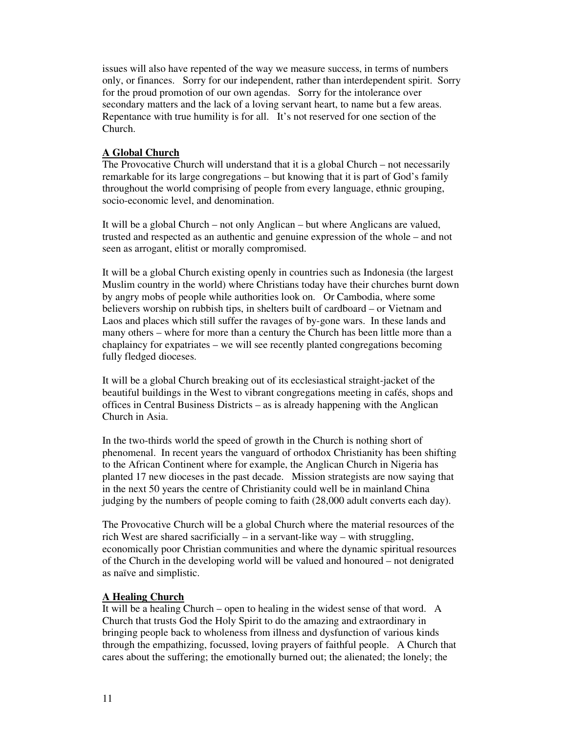issues will also have repented of the way we measure success, in terms of numbers only, or finances. Sorry for our independent, rather than interdependent spirit. Sorry for the proud promotion of our own agendas. Sorry for the intolerance over secondary matters and the lack of a loving servant heart, to name but a few areas. Repentance with true humility is for all. It's not reserved for one section of the Church.

## **A Global Church**

The Provocative Church will understand that it is a global Church – not necessarily remarkable for its large congregations – but knowing that it is part of God's family throughout the world comprising of people from every language, ethnic grouping, socio-economic level, and denomination.

It will be a global Church – not only Anglican – but where Anglicans are valued, trusted and respected as an authentic and genuine expression of the whole – and not seen as arrogant, elitist or morally compromised.

It will be a global Church existing openly in countries such as Indonesia (the largest Muslim country in the world) where Christians today have their churches burnt down by angry mobs of people while authorities look on. Or Cambodia, where some believers worship on rubbish tips, in shelters built of cardboard – or Vietnam and Laos and places which still suffer the ravages of by-gone wars. In these lands and many others – where for more than a century the Church has been little more than a chaplaincy for expatriates – we will see recently planted congregations becoming fully fledged dioceses.

It will be a global Church breaking out of its ecclesiastical straight-jacket of the beautiful buildings in the West to vibrant congregations meeting in cafés, shops and offices in Central Business Districts – as is already happening with the Anglican Church in Asia.

In the two-thirds world the speed of growth in the Church is nothing short of phenomenal. In recent years the vanguard of orthodox Christianity has been shifting to the African Continent where for example, the Anglican Church in Nigeria has planted 17 new dioceses in the past decade. Mission strategists are now saying that in the next 50 years the centre of Christianity could well be in mainland China judging by the numbers of people coming to faith (28,000 adult converts each day).

The Provocative Church will be a global Church where the material resources of the rich West are shared sacrificially – in a servant-like way – with struggling, economically poor Christian communities and where the dynamic spiritual resources of the Church in the developing world will be valued and honoured – not denigrated as naïve and simplistic.

### **A Healing Church**

It will be a healing Church – open to healing in the widest sense of that word. A Church that trusts God the Holy Spirit to do the amazing and extraordinary in bringing people back to wholeness from illness and dysfunction of various kinds through the empathizing, focussed, loving prayers of faithful people. A Church that cares about the suffering; the emotionally burned out; the alienated; the lonely; the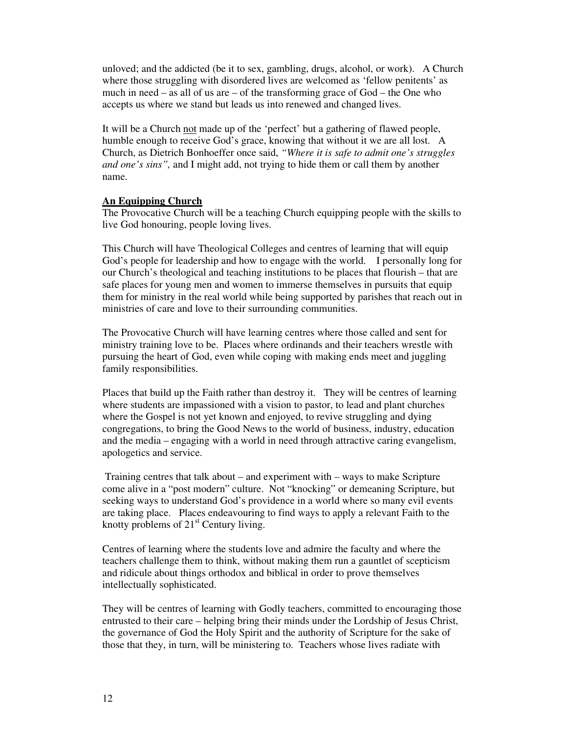unloved; and the addicted (be it to sex, gambling, drugs, alcohol, or work). A Church where those struggling with disordered lives are welcomed as 'fellow penitents' as much in need – as all of us are – of the transforming grace of  $God$  – the One who accepts us where we stand but leads us into renewed and changed lives.

It will be a Church not made up of the 'perfect' but a gathering of flawed people, humble enough to receive God's grace, knowing that without it we are all lost. A Church, as Dietrich Bonhoeffer once said, *"Where it is safe to admit one's struggles and one's sins",* and I might add, not trying to hide them or call them by another name.

## **An Equipping Church**

The Provocative Church will be a teaching Church equipping people with the skills to live God honouring, people loving lives.

This Church will have Theological Colleges and centres of learning that will equip God's people for leadership and how to engage with the world. I personally long for our Church's theological and teaching institutions to be places that flourish – that are safe places for young men and women to immerse themselves in pursuits that equip them for ministry in the real world while being supported by parishes that reach out in ministries of care and love to their surrounding communities.

The Provocative Church will have learning centres where those called and sent for ministry training love to be. Places where ordinands and their teachers wrestle with pursuing the heart of God, even while coping with making ends meet and juggling family responsibilities.

Places that build up the Faith rather than destroy it. They will be centres of learning where students are impassioned with a vision to pastor, to lead and plant churches where the Gospel is not yet known and enjoyed, to revive struggling and dying congregations, to bring the Good News to the world of business, industry, education and the media – engaging with a world in need through attractive caring evangelism, apologetics and service.

 Training centres that talk about – and experiment with – ways to make Scripture come alive in a "post modern" culture. Not "knocking" or demeaning Scripture, but seeking ways to understand God's providence in a world where so many evil events are taking place. Places endeavouring to find ways to apply a relevant Faith to the knotty problems of  $21<sup>st</sup>$  Century living.

Centres of learning where the students love and admire the faculty and where the teachers challenge them to think, without making them run a gauntlet of scepticism and ridicule about things orthodox and biblical in order to prove themselves intellectually sophisticated.

They will be centres of learning with Godly teachers, committed to encouraging those entrusted to their care – helping bring their minds under the Lordship of Jesus Christ, the governance of God the Holy Spirit and the authority of Scripture for the sake of those that they, in turn, will be ministering to. Teachers whose lives radiate with